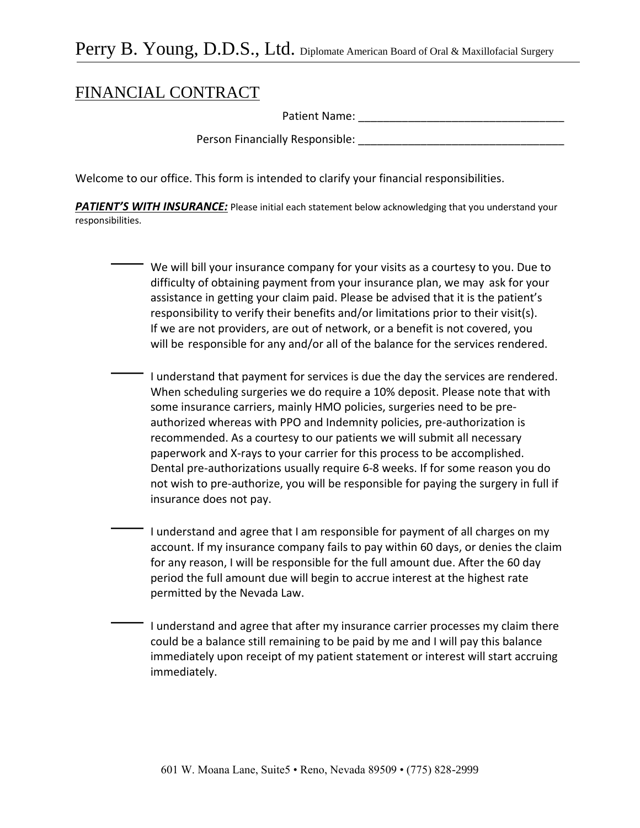## FINANCIAL CONTRACT

Patient Name:

Person Financially Responsible:

Welcome to our office. This form is intended to clarify your financial responsibilities.

**PATIENT'S WITH INSURANCE:** Please initial each statement below acknowledging that you understand your responsibilities.

> We will bill your insurance company for your visits as a courtesy to you. Due to difficulty of obtaining payment from your insurance plan, we may ask for your assistance in getting your claim paid. Please be advised that it is the patient's responsibility to verify their benefits and/or limitations prior to their visit(s). If we are not providers, are out of network, or a benefit is not covered, you will be responsible for any and/or all of the balance for the services rendered.

 I understand that payment for services is due the day the services are rendered. When scheduling surgeries we do require a 10% deposit. Please note that with some insurance carriers, mainly HMO policies, surgeries need to be preauthorized whereas with PPO and Indemnity policies, pre-authorization is recommended. As a courtesy to our patients we will submit all necessary paperwork and X-rays to your carrier for this process to be accomplished. Dental pre-authorizations usually require 6-8 weeks. If for some reason you do not wish to pre-authorize, you will be responsible for paying the surgery in full if insurance does not pay.

 I understand and agree that I am responsible for payment of all charges on my account. If my insurance company fails to pay within 60 days, or denies the claim for any reason, I will be responsible for the full amount due. After the 60 day period the full amount due will begin to accrue interest at the highest rate permitted by the Nevada Law.

 I understand and agree that after my insurance carrier processes my claim there could be a balance still remaining to be paid by me and I will pay this balance immediately upon receipt of my patient statement or interest will start accruing immediately.